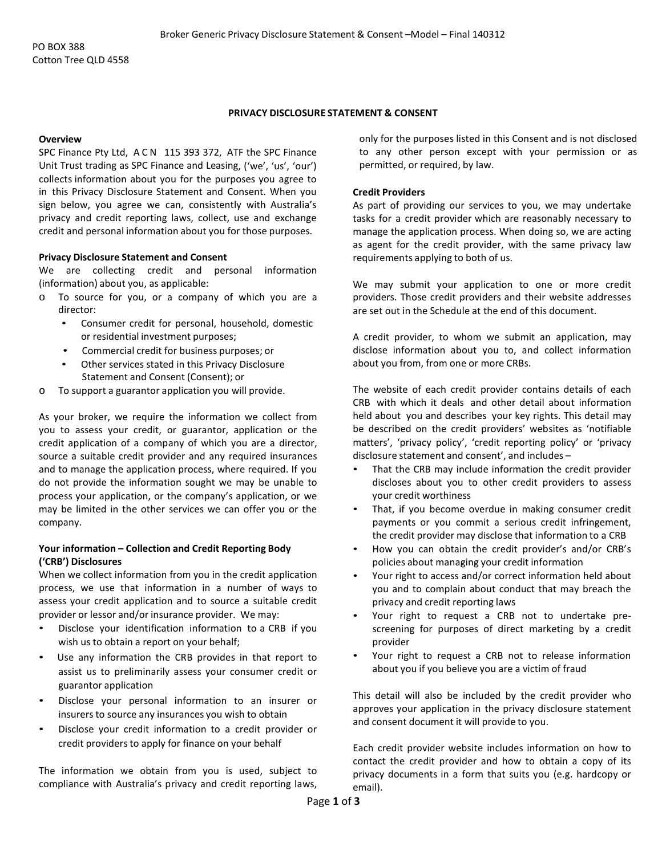## **PRIVACY DISCLOSURE STATEMENT & CONSENT**

#### **Overview**

SPC Finance Pty Ltd, ACN 115 393 372, ATF the SPC Finance Unit Trust trading as SPC Finance and Leasing, ('we', 'us', 'our') collects information about you for the purposes you agree to in this Privacy Disclosure Statement and Consent. When you sign below, you agree we can, consistently with Australia's privacy and credit reporting laws, collect, use and exchange credit and personal information about you for those purposes.

### **Privacy Disclosure Statement and Consent**

We are collecting credit and personal information (information) about you, as applicable:

- o To source for you, or a company of which you are a director:
	- Consumer credit for personal, household, domestic or residential investment purposes;
	- Commercial credit for business purposes; or
	- Other services stated in this Privacy Disclosure Statement and Consent (Consent); or
- o To support a guarantor application you will provide.

As your broker, we require the information we collect from you to assess your credit, or guarantor, application or the credit application of a company of which you are a director, source a suitable credit provider and any required insurances and to manage the application process, where required. If you do not provide the information sought we may be unable to process your application, or the company's application, or we may be limited in the other services we can offer you or the company.

# **Your information – Collection and Credit Reporting Body ('CRB') Disclosures**

When we collect information from you in the credit application process, we use that information in a number of ways to assess your credit application and to source a suitable credit provider or lessor and/or insurance provider. We may:

- Disclose your identification information to a CRB if you wish us to obtain a report on your behalf;
- Use any information the CRB provides in that report to assist us to preliminarily assess your consumer credit or guarantor application
- Disclose your personal information to an insurer or insurersto source any insurances you wish to obtain
- Disclose your credit information to a credit provider or credit providers to apply for finance on your behalf

The information we obtain from you is used, subject to compliance with Australia's privacy and credit reporting laws,

only for the purposes listed in this Consent and is not disclosed to any other person except with your permission or as permitted, or required, by law.

## **Credit Providers**

As part of providing our services to you, we may undertake tasks for a credit provider which are reasonably necessary to manage the application process. When doing so, we are acting as agent for the credit provider, with the same privacy law requirements applying to both of us.

We may submit your application to one or more credit providers. Those credit providers and their website addresses are set out in the Schedule at the end of this document.

A credit provider, to whom we submit an application, may disclose information about you to, and collect information about you from, from one or more CRBs.

The website of each credit provider contains details of each CRB with which it deals and other detail about information held about you and describes your key rights. This detail may be described on the credit providers' websites as 'notifiable matters', 'privacy policy', 'credit reporting policy' or 'privacy disclosure statement and consent', and includes –

- That the CRB may include information the credit provider discloses about you to other credit providers to assess your credit worthiness
- That, if you become overdue in making consumer credit payments or you commit a serious credit infringement, the credit provider may disclose that information to a CRB
- How you can obtain the credit provider's and/or CRB's policies about managing your credit information
- Your right to access and/or correct information held about you and to complain about conduct that may breach the privacy and credit reporting laws
- Your right to request a CRB not to undertake prescreening for purposes of direct marketing by a credit provider
- Your right to request a CRB not to release information about you if you believe you are a victim of fraud

This detail will also be included by the credit provider who approves your application in the privacy disclosure statement and consent document it will provide to you.

Each credit provider website includes information on how to contact the credit provider and how to obtain a copy of its privacy documents in a form that suits you (e.g. hardcopy or email).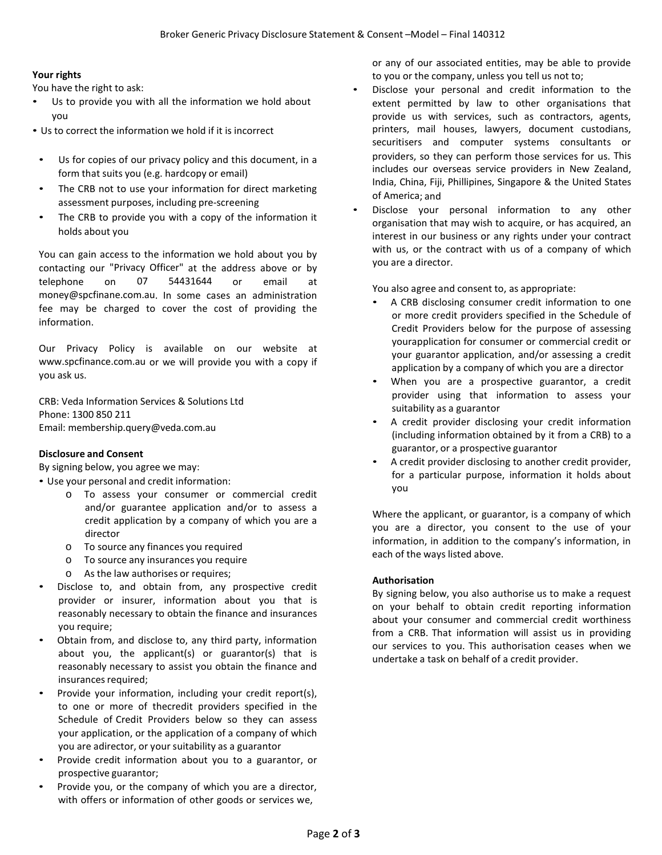# **Your rights**

You have the right to ask:

- Us to provide you with all the information we hold about you
- Us to correct the information we hold if it is incorrect
- Us for copies of our privacy policy and this document, in a form that suits you (e.g. hardcopy or email)
- The CRB not to use your information for direct marketing assessment purposes, including pre-screening
- The CRB to provide you with a copy of the information it holds about you

You can gain access to the information we hold about you by contacting our "Privacy Officer" at the address above or by telephone on 07 54431644 or email at money@spcfinane.com.au. In some cases an administration fee may be charged to cover the cost of providing the information.

Our Privacy Policy is available on our website at www.spcfinance.com.au or we will provide you with a copy if you ask us.

CRB: Veda Information Services & Solutions Ltd Phone: 1300 850 211 Email: membership.query@veda.com.au

### **Disclosure and Consent**

By signing below, you agree we may:

• Use your personal and credit information:

- o To assess your consumer or commercial credit and/or guarantee application and/or to assess a credit application by a company of which you are a director
- o To source any finances you required
- o To source any insurances you require
- o As the law authorises or requires;
- Disclose to, and obtain from, any prospective credit provider or insurer, information about you that is reasonably necessary to obtain the finance and insurances you require;
- Obtain from, and disclose to, any third party, information about you, the applicant(s) or guarantor(s) that is reasonably necessary to assist you obtain the finance and insurances required;
- Provide your information, including your credit report(s), to one or more of thecredit providers specified in the Schedule of Credit Providers below so they can assess your application, or the application of a company of which you are adirector, or your suitability as a guarantor
- Provide credit information about you to a guarantor, or prospective guarantor;
- Provide you, or the company of which you are a director, with offers or information of other goods or services we,

or any of our associated entities, may be able to provide to you or the company, unless you tell us not to;

- Disclose your personal and credit information to the extent permitted by law to other organisations that provide us with services, such as contractors, agents, printers, mail houses, lawyers, document custodians, securitisers and computer systems consultants or providers, so they can perform those services for us. This includes our overseas service providers in New Zealand, India, China, Fiji, Phillipines, Singapore & the United States of America; and
- Disclose your personal information to any other organisation that may wish to acquire, or has acquired, an interest in our business or any rights under your contract with us, or the contract with us of a company of which you are a director.

You also agree and consent to, as appropriate:

- A CRB disclosing consumer credit information to one or more credit providers specified in the Schedule of Credit Providers below for the purpose of assessing yourapplication for consumer or commercial credit or your guarantor application, and/or assessing a credit application by a company of which you are a director
- When you are a prospective guarantor, a credit provider using that information to assess your suitability as a guarantor
- A credit provider disclosing your credit information (including information obtained by it from a CRB) to a guarantor, or a prospective guarantor
- A credit provider disclosing to another credit provider, for a particular purpose, information it holds about you

Where the applicant, or guarantor, is a company of which you are a director, you consent to the use of your information, in addition to the company's information, in each of the ways listed above.

### **Authorisation**

By signing below, you also authorise us to make a request on your behalf to obtain credit reporting information about your consumer and commercial credit worthiness from a CRB. That information will assist us in providing our services to you. This authorisation ceases when we undertake a task on behalf of a credit provider.